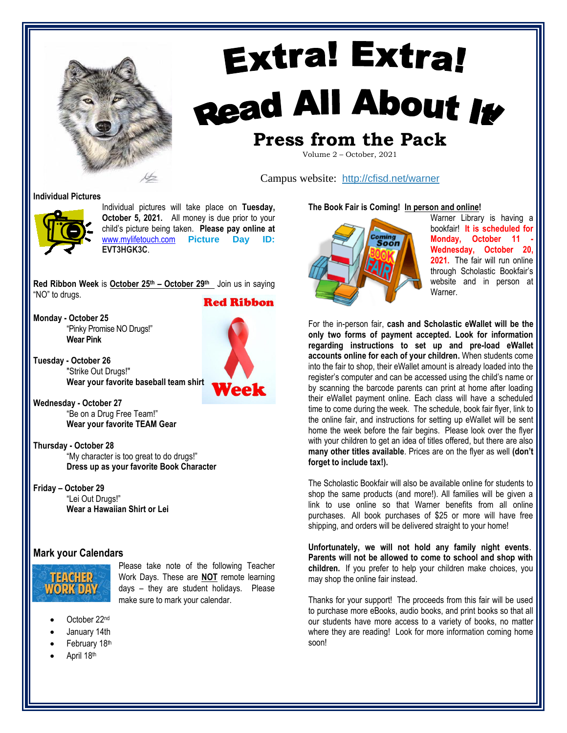

# **Extra! Extra!** Read All About It **Press from the Pack**

Volume 2 – October, 2021

Campus website: <http://cfisd.net/warner>

**Individual Pictures**



Individual pictures will take place on **Tuesday, October 5, 2021.** All money is due prior to your child's picture being taken. **Please pay online at** [www.mylifetouch.com](http://www.mylifetouch.com/) **Picture Day ID: EVT3HGK3C**.

**Red Ribbon Week** is **October 25 th – October 29th** Join us in saying "NO" to drugs.

**Red Ribbon** 

**Monday - October 25** "Pinky Promise NO Drugs!" **Wear Pink**

**Tuesday - October 26** "Strike Out Drugs!" **Wear your favorite baseball team shirt**

**Wednesday - October 27** "Be on a Drug Free Team!" **Wear your favorite TEAM Gear**

**Thursday - October 28** "My character is too great to do drugs!" **Dress up as your favorite Book Character**

**Friday – October 29** "Lei Out Drugs!" **Wear a Hawaiian Shirt or Lei**

### **Mark your Calendars**



Please take note of the following Teacher Work Days. These are **NOT** remote learning days – they are student holidays. Please make sure to mark your calendar.

- October 22nd
- January 14th
- February 18th
- April 18th





Warner Library is having a bookfair! **It is scheduled for Monday, October 11 - Wednesday, October 20, 2021.** The fair will run online through Scholastic Bookfair's website and in person at Warner.

For the in-person fair, **cash and Scholastic eWallet will be the only two forms of payment accepted. Look for information regarding instructions to set up and pre-load eWallet accounts online for each of your children.** When students come into the fair to shop, their eWallet amount is already loaded into the register's computer and can be accessed using the child's name or by scanning the barcode parents can print at home after loading their eWallet payment online. Each class will have a scheduled time to come during the week. The schedule, book fair flyer, link to the online fair, and instructions for setting up eWallet will be sent home the week before the fair begins. Please look over the flyer with your children to get an idea of titles offered, but there are also **many other titles available**. Prices are on the flyer as well **(don't forget to include tax!).**

The Scholastic Bookfair will also be available online for students to shop the same products (and more!). All families will be given a link to use online so that Warner benefits from all online purchases. All book purchases of \$25 or more will have free shipping, and orders will be delivered straight to your home!

**Unfortunately, we will not hold any family night events**. **Parents will not be allowed to come to school and shop with children.** If you prefer to help your children make choices, you may shop the online fair instead.

Thanks for your support! The proceeds from this fair will be used to purchase more eBooks, audio books, and print books so that all our students have more access to a variety of books, no matter where they are reading! Look for more information coming home soon!

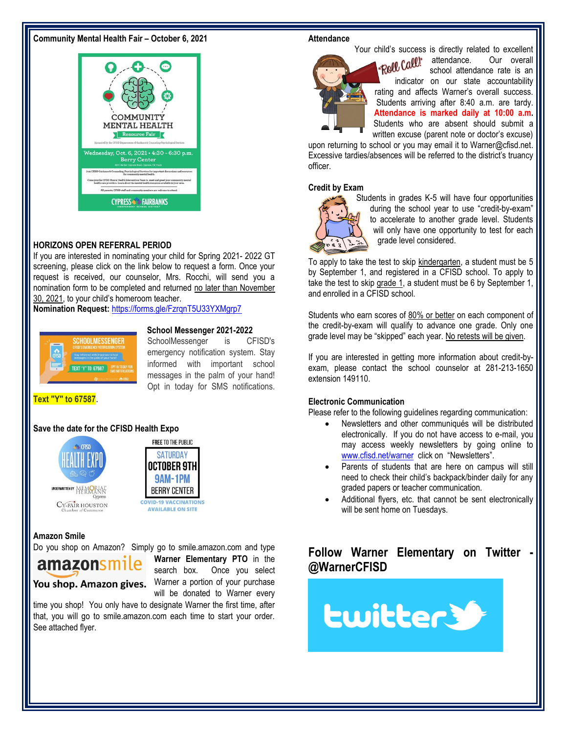#### **Community Mental Health Fair – October 6, 2021**



#### **HORIZONS OPEN REFERRAL PERIOD**

If you are interested in nominating your child for Spring 2021- 2022 GT screening, please click on the link below to request a form. Once your request is received, our counselor, Mrs. Rocchi, will send you a nomination form to be completed and returned no later than November 30, 2021, to your child's homeroom teacher.

**Nomination Request:** <https://forms.gle/FzrqnT5U33YXMgrp7>



#### **School Messenger 2021-2022**

SchoolMessenger is CFISD's emergency notification system. Stay informed with important school messages in the palm of your hand! Opt in today for SMS notifications.

**Text "Y" to 67587**.

#### **Save the date for the CFISD Health Expo**





FREE TO THE PUBLIC

#### **Amazon Smile**

Do you shop on Amazon? Simply go to smile.amazon.com and type



**Warner Elementary PTO** in the search box. Once you select You shop. Amazon gives. Warner a portion of your purchase will be donated to Warner every

time you shop! You only have to designate Warner the first time, after that, you will go to smile.amazon.com each time to start your order. See attached flyer.

#### **Attendance**



Your child's success is directly related to excellent attendance. Our overall "Roll Call" school attendance rate is an indicator on our state accountability rating and affects Warner's overall success. Students arriving after 8:40 a.m. are tardy. **Attendance is marked daily at 10:00 a.m.**  Students who are absent should submit a written excuse (parent note or doctor's excuse)

upon returning to school or you may email it to Warner@cfisd.net. Excessive tardies/absences will be referred to the district's truancy officer.

#### **Credit by Exam**



Students in grades K-5 will have four opportunities during the school year to use "credit-by-exam" to accelerate to another grade level. Students will only have one opportunity to test for each grade level considered.

To apply to take the test to skip kindergarten, a student must be 5 by September 1, and registered in a CFISD school. To apply to take the test to skip grade 1, a student must be 6 by September 1, and enrolled in a CFISD school.

Students who earn scores of 80% or better on each component of the credit-by-exam will qualify to advance one grade. Only one grade level may be "skipped" each year. No retests will be given.

If you are interested in getting more information about credit-byexam, please contact the school counselor at 281-213-1650 extension 149110.

#### **Electronic Communication**

Please refer to the following guidelines regarding communication:

- Newsletters and other communiqués will be distributed electronically. If you do not have access to e-mail, you may access weekly newsletters by going online to [www.cfisd.net/warner](http://www.cfisd.net/warner) click on "Newsletters".
- Parents of students that are here on campus will still need to check their child's backpack/binder daily for any graded papers or teacher communication.
- Additional flyers, etc. that cannot be sent electronically will be sent home on Tuesdays.

## **Follow Warner Elementary on Twitter @WarnerCFISD**

**Lwitter3**